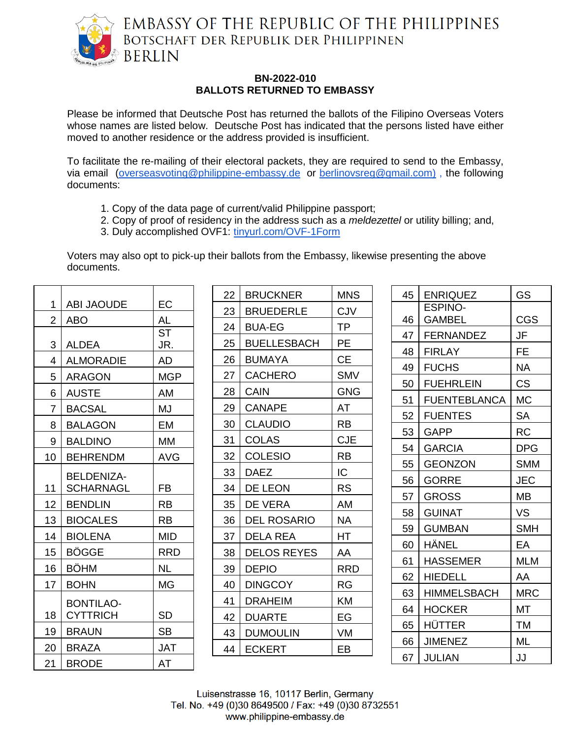

## **BN-2022-010 BALLOTS RETURNED TO EMBASSY**

Please be informed that Deutsche Post has returned the ballots of the Filipino Overseas Voters whose names are listed below. Deutsche Post has indicated that the persons listed have either moved to another residence or the address provided is insufficient.

To facilitate the re-mailing of their electoral packets, they are required to send to the Embassy, via email [\(overseasvoting@philippine-embassy.de](mailto:overseasvoting@philippine-embassy.de) or [berlinovsreg@gmail.com\)](mailto:berlinovsreg@gmail.com) , the following documents:

- 1. Copy of the data page of current/valid Philippine passport;
- 2. Copy of proof of residency in the address such as a *meldezettel* or utility billing; and,
- 3. Duly accomplished OVF1: [tinyurl.com/OVF-1Form](http://tinyurl.com/OVF-1Form)

Voters may also opt to pick-up their ballots from the Embassy, likewise presenting the above documents.

| 1              | <b>ABI JAOUDE</b>                   | EC               |
|----------------|-------------------------------------|------------------|
| $\overline{2}$ | ABO                                 | AL               |
| 3              | <b>ALDEA</b>                        | <b>ST</b><br>JR. |
| $\overline{4}$ | <b>ALMORADIE</b>                    | AD               |
| 5              | <b>ARAGON</b>                       | <b>MGP</b>       |
| 6              | <b>AUSTE</b>                        | AM               |
| $\overline{7}$ | <b>BACSAL</b>                       | MJ               |
| 8              | <b>BALAGON</b>                      | EM               |
| 9              | <b>BALDINO</b>                      | МM               |
| 10             | <b>BEHRENDM</b>                     | AVG              |
| 11             | <b>BELDENIZA-</b><br>SCHARNAGL      | FB               |
| 12             | <b>BENDLIN</b>                      | <b>RB</b>        |
| 13             | <b>BIOCALES</b>                     | <b>RB</b>        |
| 14             | <b>BIOLENA</b>                      | MID              |
| 15             | BÖGGE                               | <b>RRD</b>       |
| 16             | <b>BÖHM</b>                         | NL               |
| 17             | <b>BOHN</b>                         | <b>MG</b>        |
| 18             | <b>BONTILAO-</b><br><b>CYTTRICH</b> | <b>SD</b>        |
| 19             | <b>BRAUN</b>                        | SB               |
| 20             | <b>BRAZA</b>                        | JAT              |
| 21             | <b>BRODE</b>                        | AT               |

| 22 | <b>BRUCKNER</b>    | MNS        |
|----|--------------------|------------|
| 23 | <b>BRUEDERLE</b>   | CJV        |
| 24 | BUA-EG             | ТP         |
| 25 | <b>BUELLESBACH</b> | PE         |
| 26 | <b>BUMAYA</b>      | <b>CE</b>  |
| 27 | <b>CACHERO</b>     | <b>SMV</b> |
| 28 | <b>CAIN</b>        | <b>GNG</b> |
| 29 | <b>CANAPE</b>      | AT         |
| 30 | <b>CLAUDIO</b>     | RB         |
| 31 | <b>COLAS</b>       | <b>CJE</b> |
| 32 | <b>COLESIO</b>     | RB         |
| 33 | <b>DAEZ</b>        | IС         |
| 34 | DE LEON            | RS         |
| 35 | <b>DE VERA</b>     | AM         |
| 36 | <b>DEL ROSARIO</b> | NA         |
| 37 | <b>DELA REA</b>    | НT         |
| 38 | <b>DELOS REYES</b> | AA         |
| 39 | <b>DEPIO</b>       | <b>RRD</b> |
| 40 | <b>DINGCOY</b>     | RG         |
| 41 | <b>DRAHEIM</b>     | KM         |
| 42 | <b>DUARTE</b>      | EG         |
| 43 | <b>DUMOULIN</b>    | VM         |
| 44 | <b>ECKERT</b>      | EB         |
|    |                    |            |

| 45 | <b>ENRIQUEZ</b>     | GS         |
|----|---------------------|------------|
|    | <b>ESPINO-</b>      |            |
| 46 | GAMBEL              | <b>CGS</b> |
| 47 | <b>FERNANDEZ</b>    | JF         |
| 48 | <b>FIRLAY</b>       | FE         |
| 49 | <b>FUCHS</b>        | <b>NA</b>  |
| 50 | <b>FUEHRLEIN</b>    | CS         |
| 51 | <b>FUENTEBLANCA</b> | МC         |
| 52 | <b>FUENTES</b>      | SA         |
| 53 | <b>GAPP</b>         | <b>RC</b>  |
| 54 | <b>GARCIA</b>       | <b>DPG</b> |
| 55 | <b>GEONZON</b>      | <b>SMM</b> |
| 56 | <b>GORRE</b>        | JEC        |
| 57 | <b>GROSS</b>        | MВ         |
| 58 | <b>GUINAT</b>       | VS         |
| 59 | <b>GUMBAN</b>       | <b>SMH</b> |
| 60 | HÄNEL               | EA         |
| 61 | HASSEMER            | <b>MLM</b> |
| 62 | HIEDELL             | AA         |
| 63 | <b>HIMMELSBACH</b>  | <b>MRC</b> |
| 64 | HOCKER              | МT         |
| 65 | HÜTTER              | ТM         |
| 66 | <b>JIMENEZ</b>      | ML         |
| 67 | <b>JULIAN</b>       | JJ         |